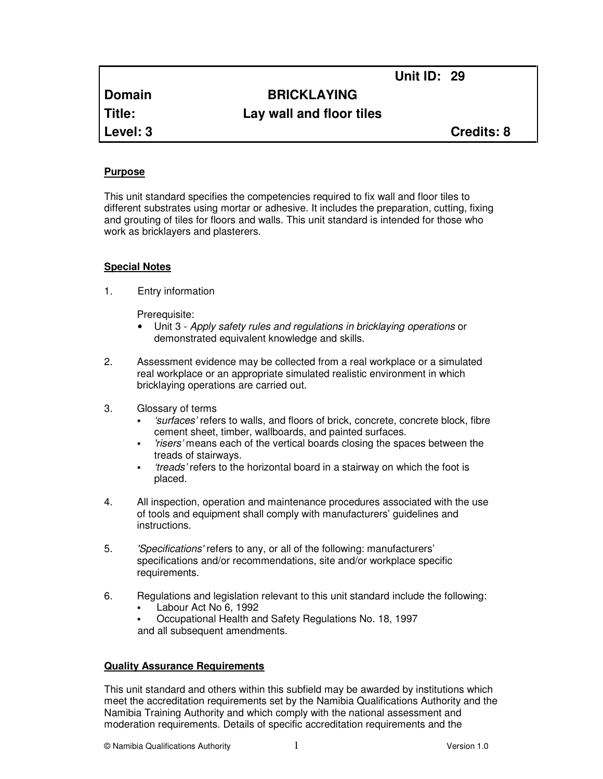**Unit ID: 29** 

# **Domain BRICKLAYING**

**Title: Lay wall and floor tiles**

**Level: 3 Credits: 8**

# **Purpose**

This unit standard specifies the competencies required to fix wall and floor tiles to different substrates using mortar or adhesive. It includes the preparation, cutting, fixing and grouting of tiles for floors and walls. This unit standard is intended for those who work as bricklayers and plasterers.

# **Special Notes**

1. Entry information

Prerequisite:

- Unit 3 Apply safety rules and regulations in bricklaying operations or demonstrated equivalent knowledge and skills.
- 2. Assessment evidence may be collected from a real workplace or a simulated real workplace or an appropriate simulated realistic environment in which bricklaying operations are carried out.
- 3. Glossary of terms
	- 'surfaces' refers to walls, and floors of brick, concrete, concrete block, fibre cement sheet, timber, wallboards, and painted surfaces.
	- 'risers' means each of the vertical boards closing the spaces between the treads of stairways.
	- 'treads' refers to the horizontal board in a stairway on which the foot is placed.
- 4. All inspection, operation and maintenance procedures associated with the use of tools and equipment shall comply with manufacturers' guidelines and instructions.
- 5. 'Specifications' refers to any, or all of the following: manufacturers' specifications and/or recommendations, site and/or workplace specific requirements.
- 6. Regulations and legislation relevant to this unit standard include the following:
	- Labour Act No 6, 1992
	- Occupational Health and Safety Regulations No. 18, 1997 and all subsequent amendments.

## **Quality Assurance Requirements**

This unit standard and others within this subfield may be awarded by institutions which meet the accreditation requirements set by the Namibia Qualifications Authority and the Namibia Training Authority and which comply with the national assessment and moderation requirements. Details of specific accreditation requirements and the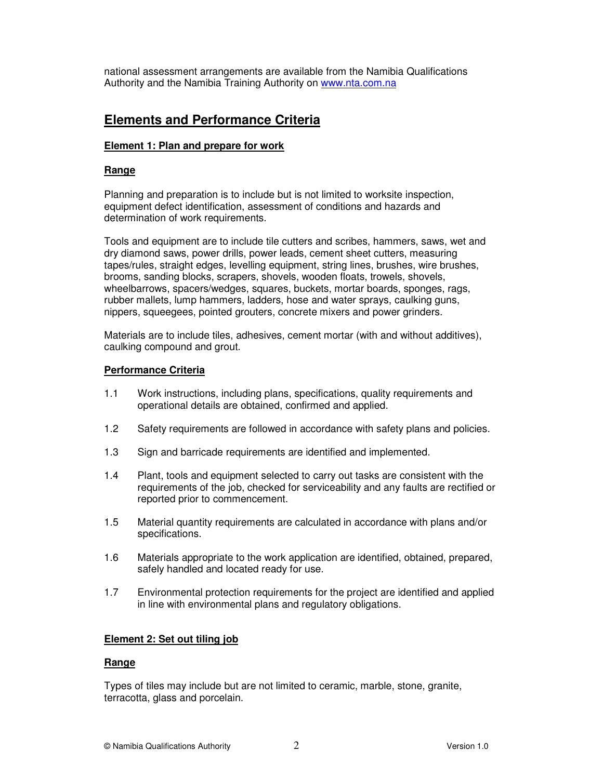national assessment arrangements are available from the Namibia Qualifications Authority and the Namibia Training Authority on www.nta.com.na

# **Elements and Performance Criteria**

## **Element 1: Plan and prepare for work**

#### **Range**

Planning and preparation is to include but is not limited to worksite inspection, equipment defect identification, assessment of conditions and hazards and determination of work requirements.

Tools and equipment are to include tile cutters and scribes, hammers, saws, wet and dry diamond saws, power drills, power leads, cement sheet cutters, measuring tapes/rules, straight edges, levelling equipment, string lines, brushes, wire brushes, brooms, sanding blocks, scrapers, shovels, wooden floats, trowels, shovels, wheelbarrows, spacers/wedges, squares, buckets, mortar boards, sponges, rags, rubber mallets, lump hammers, ladders, hose and water sprays, caulking guns, nippers, squeegees, pointed grouters, concrete mixers and power grinders.

Materials are to include tiles, adhesives, cement mortar (with and without additives), caulking compound and grout.

#### **Performance Criteria**

- 1.1 Work instructions, including plans, specifications, quality requirements and operational details are obtained, confirmed and applied.
- 1.2 Safety requirements are followed in accordance with safety plans and policies.
- 1.3 Sign and barricade requirements are identified and implemented.
- 1.4 Plant, tools and equipment selected to carry out tasks are consistent with the requirements of the job, checked for serviceability and any faults are rectified or reported prior to commencement.
- 1.5 Material quantity requirements are calculated in accordance with plans and/or specifications.
- 1.6 Materials appropriate to the work application are identified, obtained, prepared, safely handled and located ready for use.
- 1.7 Environmental protection requirements for the project are identified and applied in line with environmental plans and regulatory obligations.

#### **Element 2: Set out tiling job**

#### **Range**

Types of tiles may include but are not limited to ceramic, marble, stone, granite, terracotta, glass and porcelain.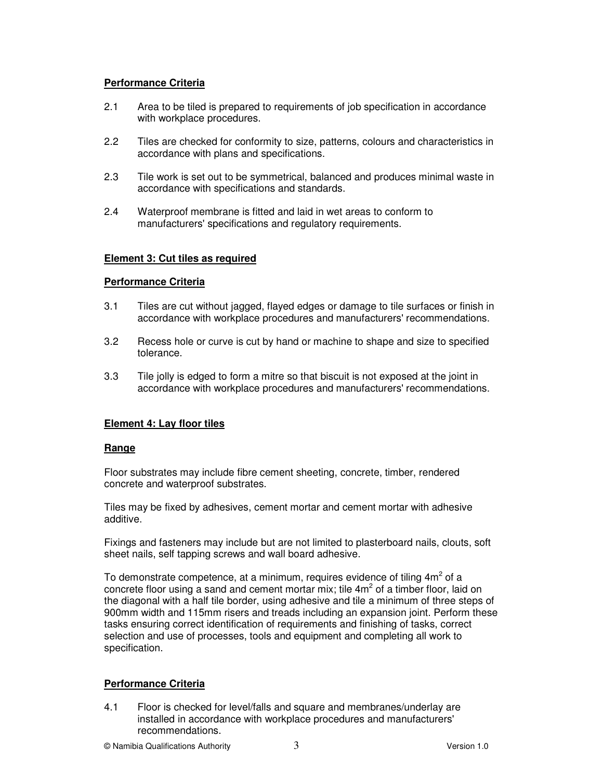# **Performance Criteria**

- 2.1 Area to be tiled is prepared to requirements of job specification in accordance with workplace procedures.
- 2.2 Tiles are checked for conformity to size, patterns, colours and characteristics in accordance with plans and specifications.
- 2.3 Tile work is set out to be symmetrical, balanced and produces minimal waste in accordance with specifications and standards.
- 2.4 Waterproof membrane is fitted and laid in wet areas to conform to manufacturers' specifications and regulatory requirements.

## **Element 3: Cut tiles as required**

## **Performance Criteria**

- 3.1 Tiles are cut without jagged, flayed edges or damage to tile surfaces or finish in accordance with workplace procedures and manufacturers' recommendations.
- 3.2 Recess hole or curve is cut by hand or machine to shape and size to specified tolerance.
- 3.3 Tile jolly is edged to form a mitre so that biscuit is not exposed at the joint in accordance with workplace procedures and manufacturers' recommendations.

## **Element 4: Lay floor tiles**

#### **Range**

Floor substrates may include fibre cement sheeting, concrete, timber, rendered concrete and waterproof substrates.

Tiles may be fixed by adhesives, cement mortar and cement mortar with adhesive additive.

Fixings and fasteners may include but are not limited to plasterboard nails, clouts, soft sheet nails, self tapping screws and wall board adhesive.

To demonstrate competence, at a minimum, requires evidence of tiling  $4m^2$  of a concrete floor using a sand and cement mortar mix; tile  $4m^2$  of a timber floor, laid on the diagonal with a half tile border, using adhesive and tile a minimum of three steps of 900mm width and 115mm risers and treads including an expansion joint. Perform these tasks ensuring correct identification of requirements and finishing of tasks, correct selection and use of processes, tools and equipment and completing all work to specification.

## **Performance Criteria**

4.1 Floor is checked for level/falls and square and membranes/underlay are installed in accordance with workplace procedures and manufacturers' recommendations.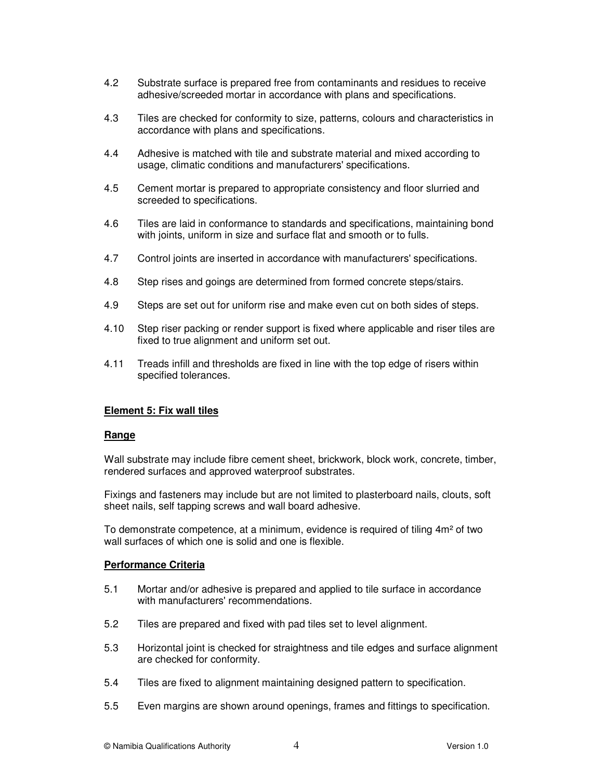- 4.2 Substrate surface is prepared free from contaminants and residues to receive adhesive/screeded mortar in accordance with plans and specifications.
- 4.3 Tiles are checked for conformity to size, patterns, colours and characteristics in accordance with plans and specifications.
- 4.4 Adhesive is matched with tile and substrate material and mixed according to usage, climatic conditions and manufacturers' specifications.
- 4.5 Cement mortar is prepared to appropriate consistency and floor slurried and screeded to specifications.
- 4.6 Tiles are laid in conformance to standards and specifications, maintaining bond with joints, uniform in size and surface flat and smooth or to fulls.
- 4.7 Control joints are inserted in accordance with manufacturers' specifications.
- 4.8 Step rises and goings are determined from formed concrete steps/stairs.
- 4.9 Steps are set out for uniform rise and make even cut on both sides of steps.
- 4.10 Step riser packing or render support is fixed where applicable and riser tiles are fixed to true alignment and uniform set out.
- 4.11 Treads infill and thresholds are fixed in line with the top edge of risers within specified tolerances.

#### **Element 5: Fix wall tiles**

#### **Range**

Wall substrate may include fibre cement sheet, brickwork, block work, concrete, timber, rendered surfaces and approved waterproof substrates.

Fixings and fasteners may include but are not limited to plasterboard nails, clouts, soft sheet nails, self tapping screws and wall board adhesive.

To demonstrate competence, at a minimum, evidence is required of tiling 4m² of two wall surfaces of which one is solid and one is flexible.

#### **Performance Criteria**

- 5.1 Mortar and/or adhesive is prepared and applied to tile surface in accordance with manufacturers' recommendations.
- 5.2 Tiles are prepared and fixed with pad tiles set to level alignment.
- 5.3 Horizontal joint is checked for straightness and tile edges and surface alignment are checked for conformity.
- 5.4 Tiles are fixed to alignment maintaining designed pattern to specification.
- 5.5 Even margins are shown around openings, frames and fittings to specification.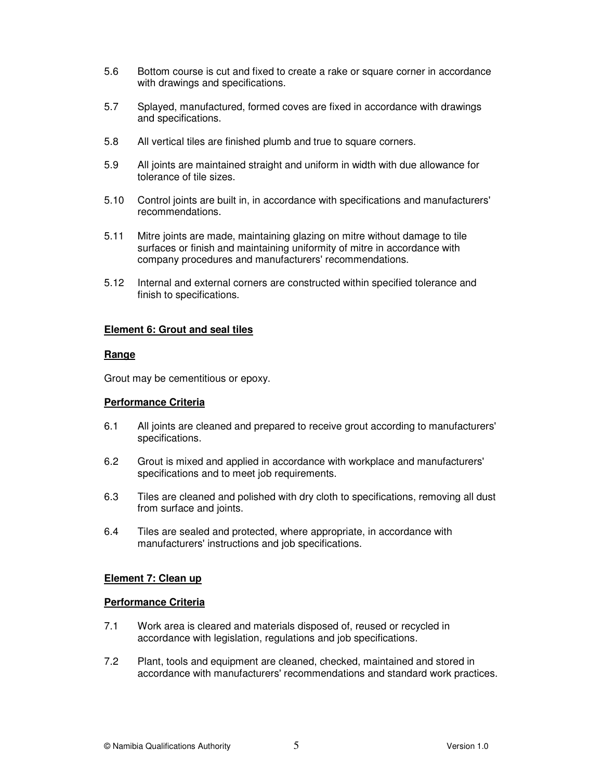- 5.6 Bottom course is cut and fixed to create a rake or square corner in accordance with drawings and specifications.
- 5.7 Splayed, manufactured, formed coves are fixed in accordance with drawings and specifications.
- 5.8 All vertical tiles are finished plumb and true to square corners.
- 5.9 All joints are maintained straight and uniform in width with due allowance for tolerance of tile sizes.
- 5.10 Control joints are built in, in accordance with specifications and manufacturers' recommendations.
- 5.11 Mitre joints are made, maintaining glazing on mitre without damage to tile surfaces or finish and maintaining uniformity of mitre in accordance with company procedures and manufacturers' recommendations.
- 5.12 Internal and external corners are constructed within specified tolerance and finish to specifications.

## **Element 6: Grout and seal tiles**

## **Range**

Grout may be cementitious or epoxy.

## **Performance Criteria**

- 6.1 All joints are cleaned and prepared to receive grout according to manufacturers' specifications.
- 6.2 Grout is mixed and applied in accordance with workplace and manufacturers' specifications and to meet job requirements.
- 6.3 Tiles are cleaned and polished with dry cloth to specifications, removing all dust from surface and joints.
- 6.4 Tiles are sealed and protected, where appropriate, in accordance with manufacturers' instructions and job specifications.

## **Element 7: Clean up**

## **Performance Criteria**

- 7.1 Work area is cleared and materials disposed of, reused or recycled in accordance with legislation, regulations and job specifications.
- 7.2 Plant, tools and equipment are cleaned, checked, maintained and stored in accordance with manufacturers' recommendations and standard work practices.